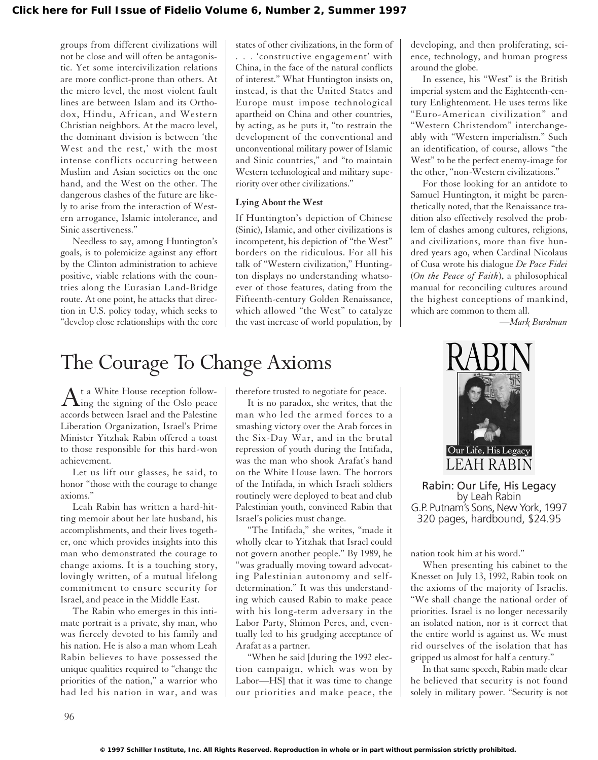groups from different civilizations will not be close and will often be antagonistic. Yet some intercivilization relations are more conflict-prone than others. At the micro level, the most violent fault lines are between Islam and its Orthodox, Hindu, African, and Western Christian neighbors. At the macro level, the dominant division is between 'the West and the rest,' with the most intense conflicts occurring between Muslim and Asian societies on the one hand, and the West on the other. The dangerous clashes of the future are likely to arise from the interaction of Western arrogance, Islamic intolerance, and Sinic assertiveness."

Needless to say, among Huntington's goals, is to polemicize against any effort by the Clinton administration to achieve positive, viable relations with the countries along the Eurasian Land-Bridge route. At one point, he attacks that direction in U.S. policy today, which seeks to "develop close relationships with the core

states of other civilizations, in the form of . . . 'constructive engagement' with China, in the face of the natural conflicts of interest." What Huntington insists on, instead, is that the United States and Europe must impose technological apartheid on China and other countries, by acting, as he puts it, "to restrain the development of the conventional and unconventional military power of Islamic and Sinic countries," and "to maintain Western technological and military superiority over other civilizations."

## **Lying About the West**

If Huntington's depiction of Chinese (Sinic), Islamic, and other civilizations is incompetent, his depiction of "the West" borders on the ridiculous. For all his talk of "Western civilization," Huntington displays no understanding whatsoever of those features, dating from the Fifteenth-century Golden Renaissance, which allowed "the West" to catalyze the vast increase of world population, by developing, and then proliferating, science, technology, and human progress around the globe.

In essence, his "West" is the British imperial system and the Eighteenth-century Enlightenment. He uses terms like "Euro-American civilization" and "Western Christendom" interchangeably with "Western imperialism." Such an identification, of course, allows "the West" to be the perfect enemy-image for the other, "non-Western civilizations."

For those looking for an antidote to Samuel Huntington, it might be parenthetically noted, that the Renaissance tradition also effectively resolved the problem of clashes among cultures, religions, and civilizations, more than five hundred years ago, when Cardinal Nicolaus of Cusa wrote his dialogue *De Pace Fidei* (*On the Peace of Faith*), a philosophical manual for reconciling cultures around the highest conceptions of mankind, which are common to them all.

*—Mark Burdman*

## The Courage To Change Axioms

At a White House reception follow-<br> $\Delta$ ing the signing of the Oslo peace accords between Israel and the Palestine Liberation Organization, Israel's Prime Minister Yitzhak Rabin offered a toast to those responsible for this hard-won achievement.

Let us lift our glasses, he said, to honor "those with the courage to change axioms."

Leah Rabin has written a hard-hitting memoir about her late husband, his accomplishments, and their lives together, one which provides insights into this man who demonstrated the courage to change axioms. It is a touching story, lovingly written, of a mutual lifelong commitment to ensure security for Israel, and peace in the Middle East.

The Rabin who emerges in this intimate portrait is a private, shy man, who was fiercely devoted to his family and his nation. He is also a man whom Leah Rabin believes to have possessed the unique qualities required to "change the priorities of the nation," a warrior who had led his nation in war, and was therefore trusted to negotiate for peace.

It is no paradox, she writes, that the man who led the armed forces to a smashing victory over the Arab forces in the Six-Day War, and in the brutal repression of youth during the Intifada, was the man who shook Arafat's hand on the White House lawn. The horrors of the Intifada, in which Israeli soldiers routinely were deployed to beat and club Palestinian youth, convinced Rabin that Israel's policies must change.

"The Intifada," she writes, "made it wholly clear to Yitzhak that Israel could not govern another people." By 1989, he "was gradually moving toward advocating Palestinian autonomy and selfdetermination." It was this understanding which caused Rabin to make peace with his long-term adversary in the Labor Party, Shimon Peres, and, eventually led to his grudging acceptance of Arafat as a partner.

"When he said [during the 1992 election campaign, which was won by Labor—HS] that it was time to change our priorities and make peace, the



Rabin: Our Life, His Legacy by Leah Rabin G.P. Putnam's Sons, New York, 1997 320 pages, hardbound, \$24.95

nation took him at his word."

When presenting his cabinet to the Knesset on July 13, 1992, Rabin took on the axioms of the majority of Israelis. "We shall change the national order of priorities. Israel is no longer necessarily an isolated nation, nor is it correct that the entire world is against us. We must rid ourselves of the isolation that has gripped us almost for half a century."

In that same speech, Rabin made clear he believed that security is not found solely in military power. "Security is not